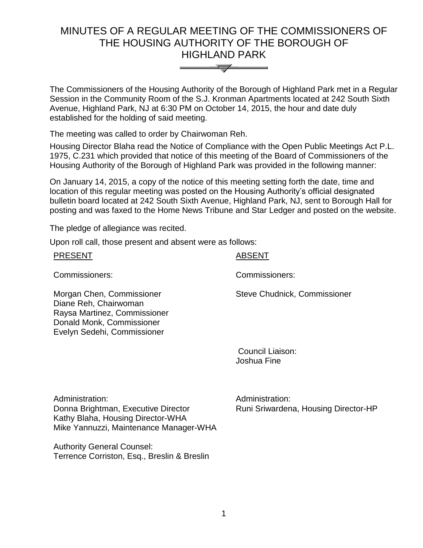# MINUTES OF A REGULAR MEETING OF THE COMMISSIONERS OF THE HOUSING AUTHORITY OF THE BOROUGH OF HIGHLAND PARK



The Commissioners of the Housing Authority of the Borough of Highland Park met in a Regular Session in the Community Room of the S.J. Kronman Apartments located at 242 South Sixth Avenue, Highland Park, NJ at 6:30 PM on October 14, 2015, the hour and date duly established for the holding of said meeting.

The meeting was called to order by Chairwoman Reh.

Housing Director Blaha read the Notice of Compliance with the Open Public Meetings Act P.L. 1975, C.231 which provided that notice of this meeting of the Board of Commissioners of the Housing Authority of the Borough of Highland Park was provided in the following manner:

On January 14, 2015, a copy of the notice of this meeting setting forth the date, time and location of this regular meeting was posted on the Housing Authority's official designated bulletin board located at 242 South Sixth Avenue, Highland Park, NJ, sent to Borough Hall for posting and was faxed to the Home News Tribune and Star Ledger and posted on the website.

The pledge of allegiance was recited.

Upon roll call, those present and absent were as follows:

| <b>PRESENT</b>                                                                                                                                 | <b>ABSENT</b>                |
|------------------------------------------------------------------------------------------------------------------------------------------------|------------------------------|
| Commissioners:                                                                                                                                 | Commissioners:               |
| Morgan Chen, Commissioner<br>Diane Reh, Chairwoman<br>Raysa Martinez, Commissioner<br>Donald Monk, Commissioner<br>Evelyn Sedehi, Commissioner | Steve Chudnick, Commissioner |

Council Liaison: Joshua Fine

Administration: Donna Brightman, Executive Director Kathy Blaha, Housing Director-WHA Mike Yannuzzi, Maintenance Manager-WHA

Administration: Runi Sriwardena, Housing Director-HP

Authority General Counsel: Terrence Corriston, Esq., Breslin & Breslin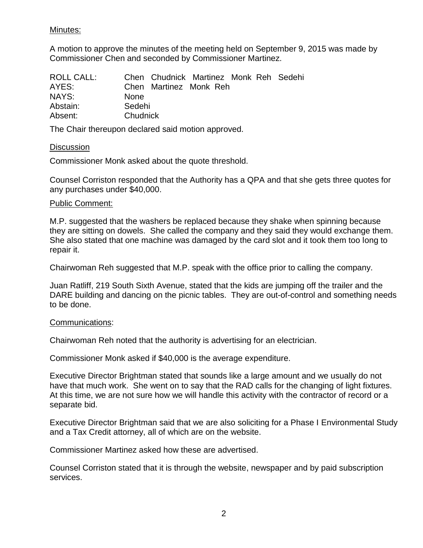# Minutes:

A motion to approve the minutes of the meeting held on September 9, 2015 was made by Commissioner Chen and seconded by Commissioner Martinez.

| <b>ROLL CALL:</b> |             | Chen Chudnick Martinez Monk Reh Sedehi |  |  |  |
|-------------------|-------------|----------------------------------------|--|--|--|
| AYES:             |             | Chen Martinez Monk Reh                 |  |  |  |
| NAYS:             | <b>None</b> |                                        |  |  |  |
| Abstain:          | Sedehi      |                                        |  |  |  |
| Absent:           | Chudnick    |                                        |  |  |  |

The Chair thereupon declared said motion approved.

## **Discussion**

Commissioner Monk asked about the quote threshold.

Counsel Corriston responded that the Authority has a QPA and that she gets three quotes for any purchases under \$40,000.

## Public Comment:

M.P. suggested that the washers be replaced because they shake when spinning because they are sitting on dowels. She called the company and they said they would exchange them. She also stated that one machine was damaged by the card slot and it took them too long to repair it.

Chairwoman Reh suggested that M.P. speak with the office prior to calling the company.

Juan Ratliff, 219 South Sixth Avenue, stated that the kids are jumping off the trailer and the DARE building and dancing on the picnic tables. They are out-of-control and something needs to be done.

#### Communications:

Chairwoman Reh noted that the authority is advertising for an electrician.

Commissioner Monk asked if \$40,000 is the average expenditure.

Executive Director Brightman stated that sounds like a large amount and we usually do not have that much work. She went on to say that the RAD calls for the changing of light fixtures. At this time, we are not sure how we will handle this activity with the contractor of record or a separate bid.

Executive Director Brightman said that we are also soliciting for a Phase I Environmental Study and a Tax Credit attorney, all of which are on the website.

Commissioner Martinez asked how these are advertised.

Counsel Corriston stated that it is through the website, newspaper and by paid subscription services.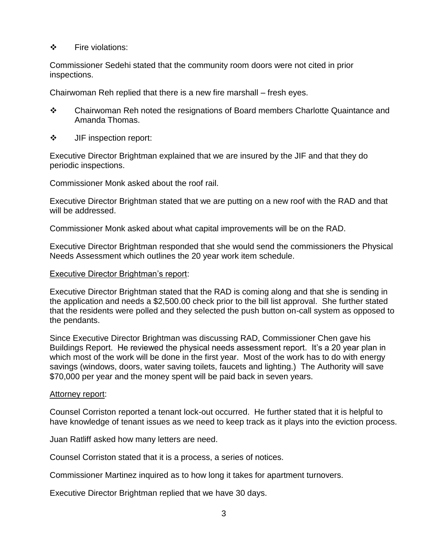## ❖ Fire violations:

Commissioner Sedehi stated that the community room doors were not cited in prior inspections.

Chairwoman Reh replied that there is a new fire marshall – fresh eyes.

- \* Chairwoman Reh noted the resignations of Board members Charlotte Quaintance and Amanda Thomas.
- **❖** JIF inspection report:

Executive Director Brightman explained that we are insured by the JIF and that they do periodic inspections.

Commissioner Monk asked about the roof rail.

Executive Director Brightman stated that we are putting on a new roof with the RAD and that will be addressed.

Commissioner Monk asked about what capital improvements will be on the RAD.

Executive Director Brightman responded that she would send the commissioners the Physical Needs Assessment which outlines the 20 year work item schedule.

## Executive Director Brightman's report:

Executive Director Brightman stated that the RAD is coming along and that she is sending in the application and needs a \$2,500.00 check prior to the bill list approval. She further stated that the residents were polled and they selected the push button on-call system as opposed to the pendants.

Since Executive Director Brightman was discussing RAD, Commissioner Chen gave his Buildings Report. He reviewed the physical needs assessment report. It's a 20 year plan in which most of the work will be done in the first year. Most of the work has to do with energy savings (windows, doors, water saving toilets, faucets and lighting.) The Authority will save \$70,000 per year and the money spent will be paid back in seven years.

#### Attorney report:

Counsel Corriston reported a tenant lock-out occurred. He further stated that it is helpful to have knowledge of tenant issues as we need to keep track as it plays into the eviction process.

Juan Ratliff asked how many letters are need.

Counsel Corriston stated that it is a process, a series of notices.

Commissioner Martinez inquired as to how long it takes for apartment turnovers.

Executive Director Brightman replied that we have 30 days.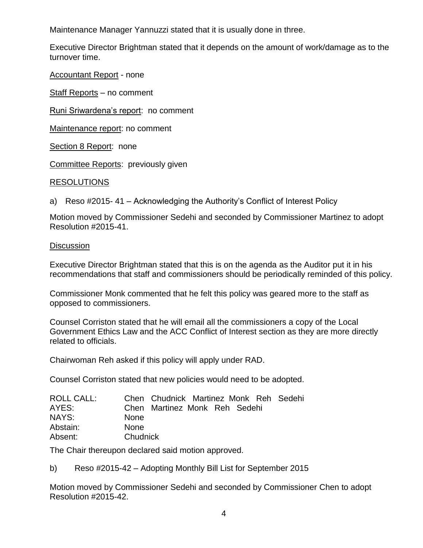Maintenance Manager Yannuzzi stated that it is usually done in three.

Executive Director Brightman stated that it depends on the amount of work/damage as to the turnover time.

Accountant Report - none

Staff Reports – no comment

Runi Sriwardena's report: no comment

Maintenance report: no comment

Section 8 Report: none

Committee Reports: previously given

## RESOLUTIONS

a) Reso #2015- 41 – Acknowledging the Authority's Conflict of Interest Policy

Motion moved by Commissioner Sedehi and seconded by Commissioner Martinez to adopt Resolution #2015-41.

#### **Discussion**

Executive Director Brightman stated that this is on the agenda as the Auditor put it in his recommendations that staff and commissioners should be periodically reminded of this policy.

Commissioner Monk commented that he felt this policy was geared more to the staff as opposed to commissioners.

Counsel Corriston stated that he will email all the commissioners a copy of the Local Government Ethics Law and the ACC Conflict of Interest section as they are more directly related to officials.

Chairwoman Reh asked if this policy will apply under RAD.

Counsel Corriston stated that new policies would need to be adopted.

| ROLL CALL: | Chen Chudnick Martinez Monk Reh Sedehi |
|------------|----------------------------------------|
| AYES:      | Chen Martinez Monk Reh Sedehi          |
| NAYS:      | <b>None</b>                            |
| Abstain:   | <b>None</b>                            |
| Absent:    | Chudnick                               |

The Chair thereupon declared said motion approved.

b) Reso #2015-42 – Adopting Monthly Bill List for September 2015

Motion moved by Commissioner Sedehi and seconded by Commissioner Chen to adopt Resolution #2015-42.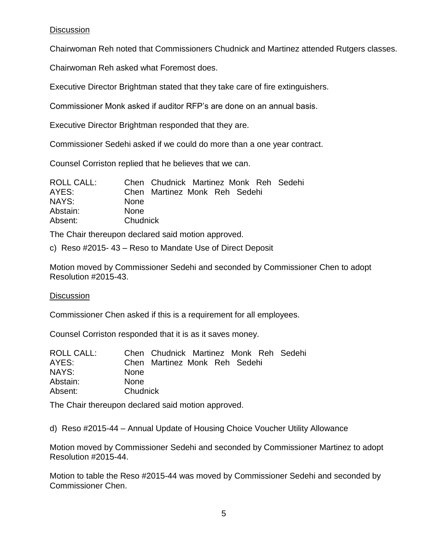# **Discussion**

Chairwoman Reh noted that Commissioners Chudnick and Martinez attended Rutgers classes.

Chairwoman Reh asked what Foremost does.

Executive Director Brightman stated that they take care of fire extinguishers.

Commissioner Monk asked if auditor RFP's are done on an annual basis.

Executive Director Brightman responded that they are.

Commissioner Sedehi asked if we could do more than a one year contract.

Counsel Corriston replied that he believes that we can.

| <b>ROLL CALL:</b> | Chen Chudnick Martinez Monk Reh Sedehi |
|-------------------|----------------------------------------|
| AYES:             | Chen Martinez Monk Reh Sedehi          |
| NAYS:             | <b>None</b>                            |
| Abstain:          | <b>None</b>                            |
| Absent:           | Chudnick                               |

The Chair thereupon declared said motion approved.

c) Reso #2015- 43 – Reso to Mandate Use of Direct Deposit

Motion moved by Commissioner Sedehi and seconded by Commissioner Chen to adopt Resolution #2015-43.

# **Discussion**

Commissioner Chen asked if this is a requirement for all employees.

Counsel Corriston responded that it is as it saves money.

| Chudnick |  |                                                                         |
|----------|--|-------------------------------------------------------------------------|
|          |  | Chen Chudnick Martinez Monk Reh Sedehi<br>Chen Martinez Monk Reh Sedehi |

The Chair thereupon declared said motion approved.

d) Reso #2015-44 – Annual Update of Housing Choice Voucher Utility Allowance

Motion moved by Commissioner Sedehi and seconded by Commissioner Martinez to adopt Resolution #2015-44.

Motion to table the Reso #2015-44 was moved by Commissioner Sedehi and seconded by Commissioner Chen.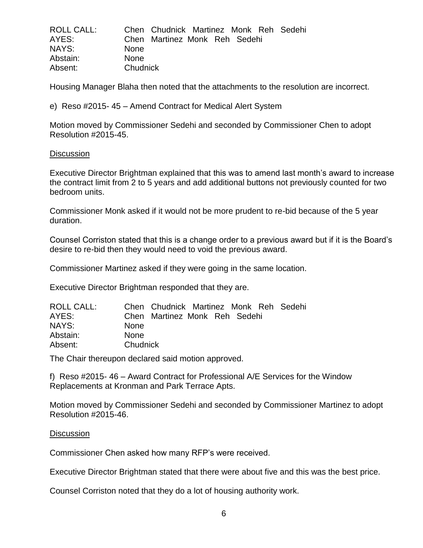| <b>ROLL CALL:</b> |             | Chen Chudnick Martinez Monk Reh Sedehi |  |  |  |
|-------------------|-------------|----------------------------------------|--|--|--|
| AYES:             |             | Chen Martinez Monk Reh Sedehi          |  |  |  |
| NAYS:             | <b>None</b> |                                        |  |  |  |
| Abstain:          | <b>None</b> |                                        |  |  |  |
| Absent:           | Chudnick    |                                        |  |  |  |

Housing Manager Blaha then noted that the attachments to the resolution are incorrect.

e) Reso #2015- 45 – Amend Contract for Medical Alert System

Motion moved by Commissioner Sedehi and seconded by Commissioner Chen to adopt Resolution #2015-45.

#### **Discussion**

Executive Director Brightman explained that this was to amend last month's award to increase the contract limit from 2 to 5 years and add additional buttons not previously counted for two bedroom units.

Commissioner Monk asked if it would not be more prudent to re-bid because of the 5 year duration.

Counsel Corriston stated that this is a change order to a previous award but if it is the Board's desire to re-bid then they would need to void the previous award.

Commissioner Martinez asked if they were going in the same location.

Executive Director Brightman responded that they are.

| <b>ROLL CALL:</b> |             | Chen Chudnick Martinez Monk Reh Sedehi |  |  |  |
|-------------------|-------------|----------------------------------------|--|--|--|
| AYES:             |             | Chen Martinez Monk Reh Sedehi          |  |  |  |
| NAYS:             | <b>None</b> |                                        |  |  |  |
| Abstain:          | <b>None</b> |                                        |  |  |  |
| Absent:           | Chudnick    |                                        |  |  |  |

The Chair thereupon declared said motion approved.

f) Reso #2015- 46 – Award Contract for Professional A/E Services for the Window Replacements at Kronman and Park Terrace Apts.

Motion moved by Commissioner Sedehi and seconded by Commissioner Martinez to adopt Resolution #2015-46.

#### **Discussion**

Commissioner Chen asked how many RFP's were received.

Executive Director Brightman stated that there were about five and this was the best price.

Counsel Corriston noted that they do a lot of housing authority work.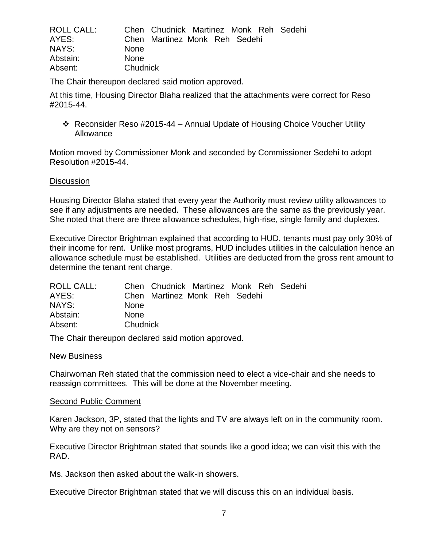| ROLL CALL: |             | Chen Chudnick Martinez Monk Reh Sedehi |  |  |  |
|------------|-------------|----------------------------------------|--|--|--|
| AYES:      |             | Chen Martinez Monk Reh Sedehi          |  |  |  |
| NAYS:      | <b>None</b> |                                        |  |  |  |
| Abstain:   | <b>None</b> |                                        |  |  |  |
| Absent:    | Chudnick    |                                        |  |  |  |

The Chair thereupon declared said motion approved.

At this time, Housing Director Blaha realized that the attachments were correct for Reso #2015-44.

 Reconsider Reso #2015-44 – Annual Update of Housing Choice Voucher Utility Allowance

Motion moved by Commissioner Monk and seconded by Commissioner Sedehi to adopt Resolution #2015-44.

#### **Discussion**

Housing Director Blaha stated that every year the Authority must review utility allowances to see if any adjustments are needed. These allowances are the same as the previously year. She noted that there are three allowance schedules, high-rise, single family and duplexes.

Executive Director Brightman explained that according to HUD, tenants must pay only 30% of their income for rent. Unlike most programs, HUD includes utilities in the calculation hence an allowance schedule must be established. Utilities are deducted from the gross rent amount to determine the tenant rent charge.

| <b>None</b> |          |  |                                                                         |
|-------------|----------|--|-------------------------------------------------------------------------|
| <b>None</b> |          |  |                                                                         |
|             |          |  |                                                                         |
|             | Chudnick |  | Chen Chudnick Martinez Monk Reh Sedehi<br>Chen Martinez Monk Reh Sedehi |

The Chair thereupon declared said motion approved.

#### New Business

Chairwoman Reh stated that the commission need to elect a vice-chair and she needs to reassign committees. This will be done at the November meeting.

#### Second Public Comment

Karen Jackson, 3P, stated that the lights and TV are always left on in the community room. Why are they not on sensors?

Executive Director Brightman stated that sounds like a good idea; we can visit this with the RAD.

Ms. Jackson then asked about the walk-in showers.

Executive Director Brightman stated that we will discuss this on an individual basis.